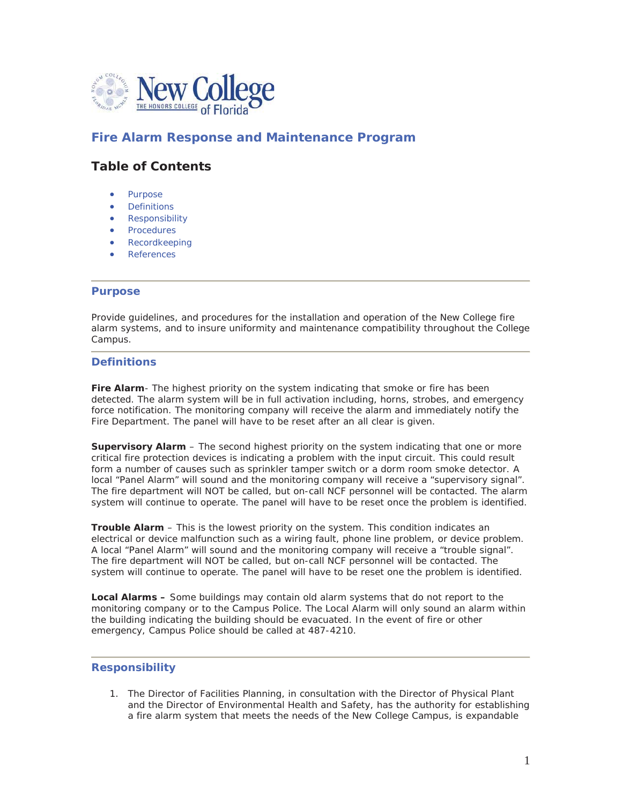

# **Fire Alarm Response and Maintenance Program**

# **Table of Contents**

- Purpose
- **Definitions**
- Responsibility
- Procedures
- Recordkeeping
- **References**

#### **Purpose**

Provide guidelines, and procedures for the installation and operation of the New College fire alarm systems, and to insure uniformity and maintenance compatibility throughout the College Campus.

## **Definitions**

**Fire Alarm**- The highest priority on the system indicating that smoke or fire has been detected. The alarm system will be in full activation including, horns, strobes, and emergency force notification. The monitoring company will receive the alarm and immediately notify the Fire Department. The panel will have to be reset after an all clear is given.

**Supervisory Alarm** – The second highest priority on the system indicating that one or more critical fire protection devices is indicating a problem with the input circuit. This could result form a number of causes such as sprinkler tamper switch or a dorm room smoke detector. A local "Panel Alarm" will sound and the monitoring company will receive a "supervisory signal". The fire department will NOT be called, but on-call NCF personnel will be contacted. The alarm system will continue to operate. The panel will have to be reset once the problem is identified.

**Trouble Alarm** – This is the lowest priority on the system. This condition indicates an electrical or device malfunction such as a wiring fault, phone line problem, or device problem. A local "Panel Alarm" will sound and the monitoring company will receive a "trouble signal". The fire department will NOT be called, but on-call NCF personnel will be contacted. The system will continue to operate. The panel will have to be reset one the problem is identified.

**Local Alarms –** Some buildings may contain old alarm systems that do not report to the monitoring company or to the Campus Police. The Local Alarm will only sound an alarm within the building indicating the building should be evacuated. In the event of fire or other emergency, Campus Police should be called at 487-4210.

### **Responsibility**

1. The Director of Facilities Planning, in consultation with the Director of Physical Plant and the Director of Environmental Health and Safety, has the authority for establishing a fire alarm system that meets the needs of the New College Campus, is expandable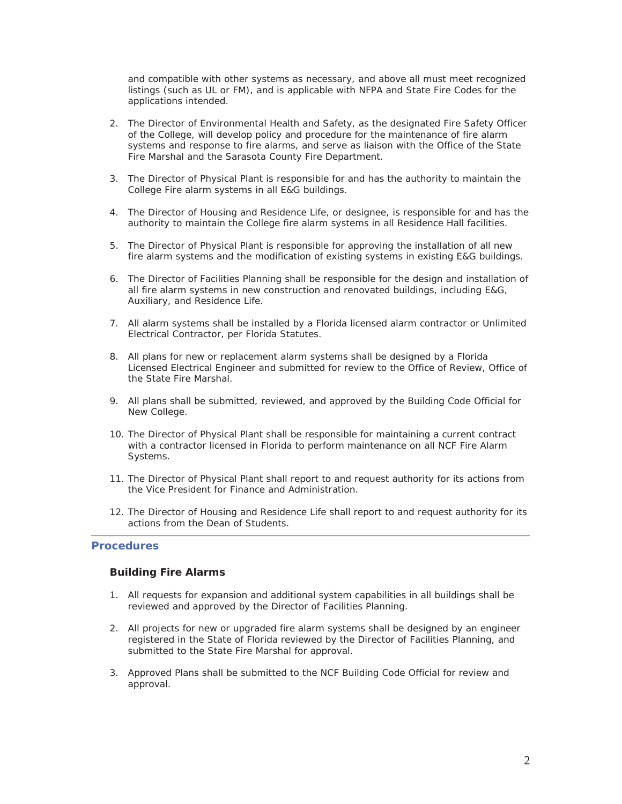and compatible with other systems as necessary, and above all must meet recognized listings (such as UL or FM), and is applicable with NFPA and State Fire Codes for the applications intended.

- 2. The Director of Environmental Health and Safety, as the designated Fire Safety Officer of the College, will develop policy and procedure for the maintenance of fire alarm systems and response to fire alarms, and serve as liaison with the Office of the State Fire Marshal and the Sarasota County Fire Department.
- 3. The Director of Physical Plant is responsible for and has the authority to maintain the College Fire alarm systems in all E&G buildings.
- 4. The Director of Housing and Residence Life, or designee, is responsible for and has the authority to maintain the College fire alarm systems in all Residence Hall facilities.
- 5. The Director of Physical Plant is responsible for approving the installation of all new fire alarm systems and the modification of existing systems in existing E&G buildings.
- 6. The Director of Facilities Planning shall be responsible for the design and installation of all fire alarm systems in new construction and renovated buildings, including E&G, Auxiliary, and Residence Life.
- 7. All alarm systems shall be installed by a Florida licensed alarm contractor or Unlimited Electrical Contractor, per Florida Statutes.
- 8. All plans for new or replacement alarm systems shall be designed by a Florida Licensed Electrical Engineer and submitted for review to the Office of Review, Office of the State Fire Marshal.
- 9. All plans shall be submitted, reviewed, and approved by the Building Code Official for New College.
- 10. The Director of Physical Plant shall be responsible for maintaining a current contract with a contractor licensed in Florida to perform maintenance on all NCF Fire Alarm Systems.
- 11. The Director of Physical Plant shall report to and request authority for its actions from the Vice President for Finance and Administration.
- 12. The Director of Housing and Residence Life shall report to and request authority for its actions from the Dean of Students.

### **Procedures**

### **Building Fire Alarms**

- 1. All requests for expansion and additional system capabilities in all buildings shall be reviewed and approved by the Director of Facilities Planning.
- 2. All projects for new or upgraded fire alarm systems shall be designed by an engineer registered in the State of Florida reviewed by the Director of Facilities Planning, and submitted to the State Fire Marshal for approval.
- 3. Approved Plans shall be submitted to the NCF Building Code Official for review and approval.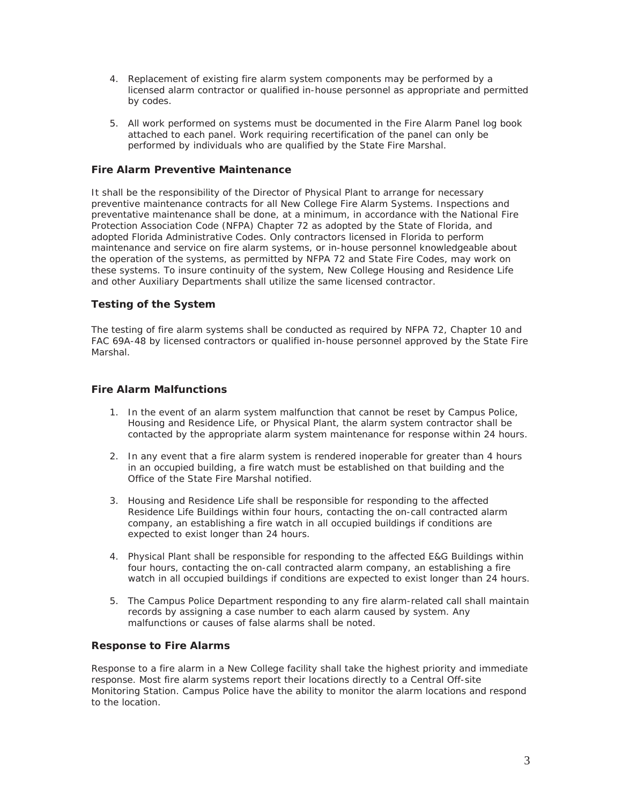- 4. Replacement of existing fire alarm system components may be performed by a licensed alarm contractor or qualified in-house personnel as appropriate and permitted by codes.
- 5. All work performed on systems must be documented in the Fire Alarm Panel log book attached to each panel. Work requiring recertification of the panel can only be performed by individuals who are qualified by the State Fire Marshal.

## **Fire Alarm Preventive Maintenance**

It shall be the responsibility of the Director of Physical Plant to arrange for necessary preventive maintenance contracts for all New College Fire Alarm Systems. Inspections and preventative maintenance shall be done, at a minimum, in accordance with the National Fire Protection Association Code (NFPA) Chapter 72 as adopted by the State of Florida, and adopted Florida Administrative Codes. Only contractors licensed in Florida to perform maintenance and service on fire alarm systems, or in-house personnel knowledgeable about the operation of the systems, as permitted by NFPA 72 and State Fire Codes, may work on these systems. To insure continuity of the system, New College Housing and Residence Life and other Auxiliary Departments shall utilize the same licensed contractor.

## **Testing of the System**

The testing of fire alarm systems shall be conducted as required by NFPA 72, Chapter 10 and FAC 69A-48 by licensed contractors or qualified in-house personnel approved by the State Fire Marshal.

### **Fire Alarm Malfunctions**

- 1. In the event of an alarm system malfunction that cannot be reset by Campus Police, Housing and Residence Life, or Physical Plant, the alarm system contractor shall be contacted by the appropriate alarm system maintenance for response within 24 hours.
- 2. In any event that a fire alarm system is rendered inoperable for greater than 4 hours in an occupied building, a fire watch must be established on that building and the Office of the State Fire Marshal notified.
- 3. Housing and Residence Life shall be responsible for responding to the affected Residence Life Buildings within four hours, contacting the on-call contracted alarm company, an establishing a fire watch in all occupied buildings if conditions are expected to exist longer than 24 hours.
- 4. Physical Plant shall be responsible for responding to the affected E&G Buildings within four hours, contacting the on-call contracted alarm company, an establishing a fire watch in all occupied buildings if conditions are expected to exist longer than 24 hours.
- 5. The Campus Police Department responding to any fire alarm-related call shall maintain records by assigning a case number to each alarm caused by system. Any malfunctions or causes of false alarms shall be noted.

### **Response to Fire Alarms**

Response to a fire alarm in a New College facility shall take the highest priority and immediate response. Most fire alarm systems report their locations directly to a Central Off-site Monitoring Station. Campus Police have the ability to monitor the alarm locations and respond to the location.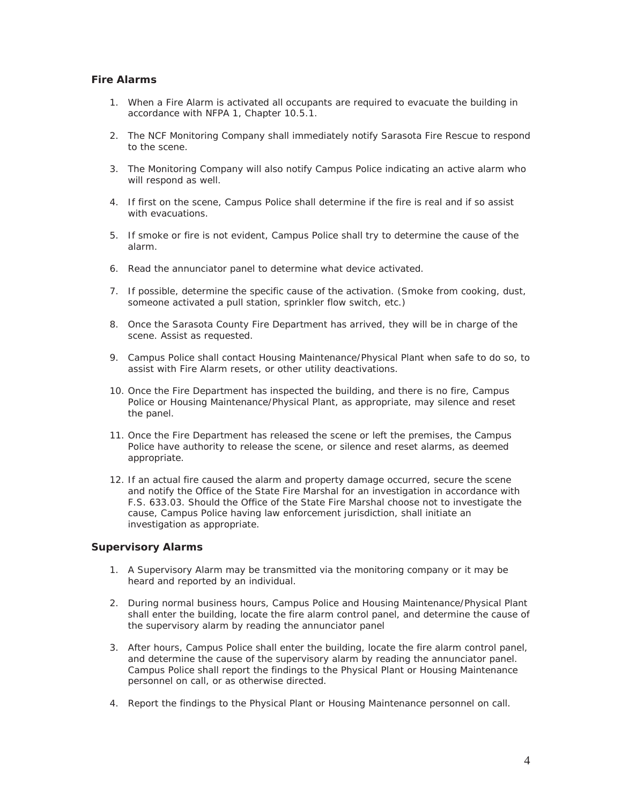## **Fire Alarms**

- 1. When a Fire Alarm is activated all occupants are required to evacuate the building in accordance with NFPA 1, Chapter 10.5.1.
- 2. The NCF Monitoring Company shall immediately notify Sarasota Fire Rescue to respond to the scene.
- 3. The Monitoring Company will also notify Campus Police indicating an active alarm who will respond as well.
- 4. If first on the scene, Campus Police shall determine if the fire is real and if so assist with evacuations.
- 5. If smoke or fire is not evident, Campus Police shall try to determine the cause of the alarm.
- 6. Read the annunciator panel to determine what device activated.
- 7. If possible, determine the specific cause of the activation. (Smoke from cooking, dust, someone activated a pull station, sprinkler flow switch, etc.)
- 8. Once the Sarasota County Fire Department has arrived, they will be in charge of the scene. Assist as requested.
- 9. Campus Police shall contact Housing Maintenance/Physical Plant when safe to do so, to assist with Fire Alarm resets, or other utility deactivations.
- 10. Once the Fire Department has inspected the building, and there is no fire, Campus Police or Housing Maintenance/Physical Plant, as appropriate, may silence and reset the panel.
- 11. Once the Fire Department has released the scene or left the premises, the Campus Police have authority to release the scene, or silence and reset alarms, as deemed appropriate.
- 12. If an actual fire caused the alarm and property damage occurred, secure the scene and notify the Office of the State Fire Marshal for an investigation in accordance with F.S. 633.03. Should the Office of the State Fire Marshal choose not to investigate the cause, Campus Police having law enforcement jurisdiction, shall initiate an investigation as appropriate.

## **Supervisory Alarms**

- 1. A Supervisory Alarm may be transmitted via the monitoring company or it may be heard and reported by an individual.
- 2. During normal business hours, Campus Police and Housing Maintenance/Physical Plant shall enter the building, locate the fire alarm control panel, and determine the cause of the supervisory alarm by reading the annunciator panel
- 3. After hours, Campus Police shall enter the building, locate the fire alarm control panel, and determine the cause of the supervisory alarm by reading the annunciator panel. Campus Police shall report the findings to the Physical Plant or Housing Maintenance personnel on call, or as otherwise directed.
- 4. Report the findings to the Physical Plant or Housing Maintenance personnel on call.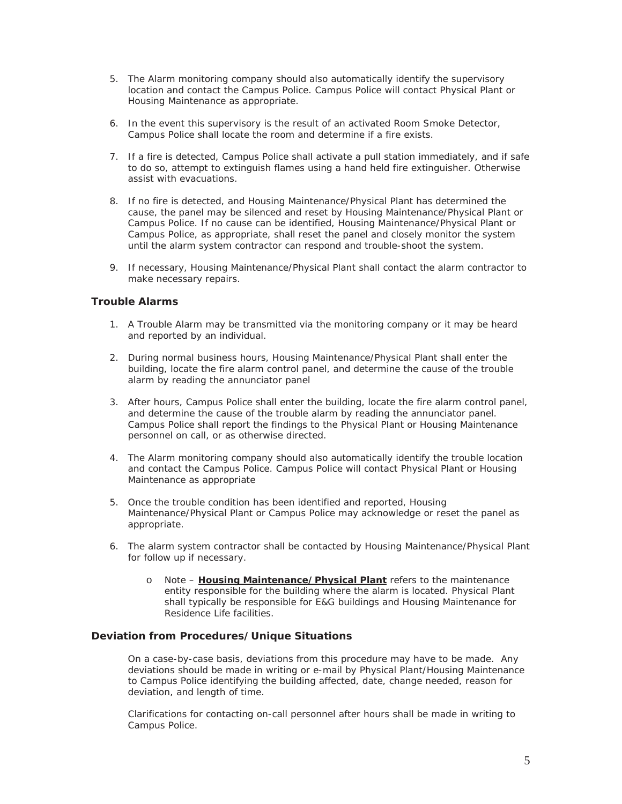- 5. The Alarm monitoring company should also automatically identify the supervisory location and contact the Campus Police. Campus Police will contact Physical Plant or Housing Maintenance as appropriate.
- 6. In the event this supervisory is the result of an activated Room Smoke Detector, Campus Police shall locate the room and determine if a fire exists.
- 7. If a fire is detected, Campus Police shall activate a pull station immediately, and if safe to do so, attempt to extinguish flames using a hand held fire extinguisher. Otherwise assist with evacuations.
- 8. If no fire is detected, and Housing Maintenance/Physical Plant has determined the cause, the panel may be silenced and reset by Housing Maintenance/Physical Plant or Campus Police. If no cause can be identified, Housing Maintenance/Physical Plant or Campus Police, as appropriate, shall reset the panel and closely monitor the system until the alarm system contractor can respond and trouble-shoot the system.
- 9. If necessary, Housing Maintenance/Physical Plant shall contact the alarm contractor to make necessary repairs.

## **Trouble Alarms**

- 1. A Trouble Alarm may be transmitted via the monitoring company or it may be heard and reported by an individual.
- 2. During normal business hours, Housing Maintenance/Physical Plant shall enter the building, locate the fire alarm control panel, and determine the cause of the trouble alarm by reading the annunciator panel
- 3. After hours, Campus Police shall enter the building, locate the fire alarm control panel, and determine the cause of the trouble alarm by reading the annunciator panel. Campus Police shall report the findings to the Physical Plant or Housing Maintenance personnel on call, or as otherwise directed.
- 4. The Alarm monitoring company should also automatically identify the trouble location and contact the Campus Police. Campus Police will contact Physical Plant or Housing Maintenance as appropriate
- 5. Once the trouble condition has been identified and reported, Housing Maintenance/Physical Plant or Campus Police may acknowledge or reset the panel as appropriate.
- 6. The alarm system contractor shall be contacted by Housing Maintenance/Physical Plant for follow up if necessary.
	- o Note **Housing Maintenance/Physical Plant** refers to the maintenance entity responsible for the building where the alarm is located. Physical Plant shall typically be responsible for E&G buildings and Housing Maintenance for Residence Life facilities.

### **Deviation from Procedures/Unique Situations**

On a case-by-case basis, deviations from this procedure may have to be made. Any deviations should be made in writing or e-mail by Physical Plant/Housing Maintenance to Campus Police identifying the building affected, date, change needed, reason for deviation, and length of time.

Clarifications for contacting on-call personnel after hours shall be made in writing to Campus Police.